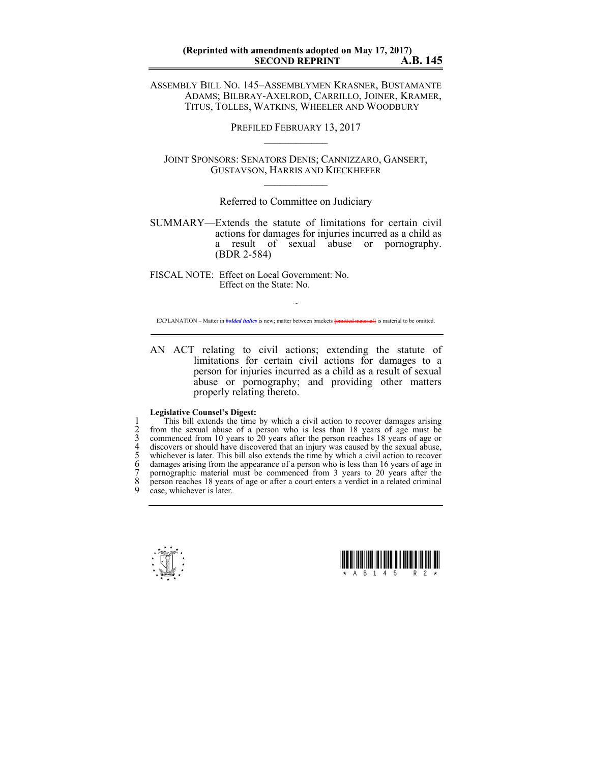ASSEMBLY BILL NO. 145–ASSEMBLYMEN KRASNER, BUSTAMANTE ADAMS; BILBRAY-AXELROD, CARRILLO, JOINER, KRAMER, TITUS, TOLLES, WATKINS, WHEELER AND WOODBURY

PREFILED FEBRUARY 13, 2017

JOINT SPONSORS: SENATORS DENIS; CANNIZZARO, GANSERT, GUSTAVSON, HARRIS AND KIECKHEFER  $\mathcal{L}_\text{max}$ 

Referred to Committee on Judiciary

SUMMARY—Extends the statute of limitations for certain civil actions for damages for injuries incurred as a child as a result of sexual abuse or pornography. (BDR 2-584)

FISCAL NOTE: Effect on Local Government: No. Effect on the State: No.

~ EXPLANATION – Matter in *bolded italics* is new; matter between brackets **{omitted material}** is material to be omitted.

AN ACT relating to civil actions; extending the statute of limitations for certain civil actions for damages to a person for injuries incurred as a child as a result of sexual abuse or pornography; and providing other matters properly relating thereto.

## **Legislative Counsel's Digest:**

This bill extends the time by which a civil action to recover damages arising<br>
2 from the sexual abuse of a person who is less than 18 years of age must be<br>
3 commenced from 10 years to 20 years after the person reaches 1 from the sexual abuse of a person who is less than 18 years of age must be 3 commenced from 10 years to 20 years after the person reaches 18 years of age or 4 discovers or should have discovered that an injury was caused by the sexual abuse, 5 whichever is later. This bill also extends the time by which a civil action to recover damages arising from the appearance of a person who is less than 16 years of age in pornographic material must be commenced from 3 years to 20 years after the 8 person reaches 18 years of age or after a court enters a verdict in a related criminal case, whichever is later.